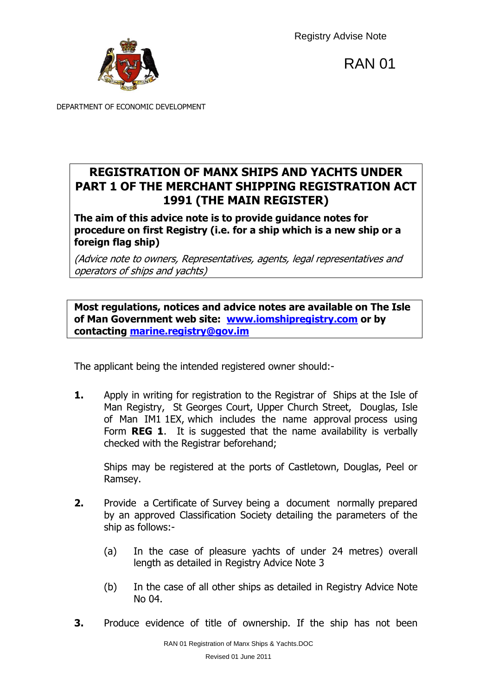Registry Advise Note

RAN 01



DEPARTMENT OF ECONOMIC DEVELOPMENT

## **REGISTRATION OF MANX SHIPS AND YACHTS UNDER PART 1 OF THE MERCHANT SHIPPING REGISTRATION ACT 1991 (THE MAIN REGISTER)**

**The aim of this advice note is to provide guidance notes for procedure on first Registry (i.e. for a ship which is a new ship or a foreign flag ship)**

(Advice note to owners, Representatives, agents, legal representatives and operators of ships and yachts)

**Most regulations, notices and advice notes are available on The Isle of Man Government web site: [www.iomshipregistry.com](http://www.iomshipregistry.com/) or by contacting marine.registry@gov.im**

The applicant being the intended registered owner should:-

**1.** Apply in writing for registration to the Registrar of Ships at the Isle of Man Registry, St Georges Court, Upper Church Street, Douglas, Isle of Man IM1 1EX, which includes the name approval process using Form **REG 1**. It is suggested that the name availability is verbally checked with the Registrar beforehand;

Ships may be registered at the ports of Castletown, Douglas, Peel or Ramsey.

- **2.** Provide a Certificate of Survey being a document normally prepared by an approved Classification Society detailing the parameters of the ship as follows:-
	- (a) In the case of pleasure yachts of under 24 metres) overall length as detailed in Registry Advice Note 3
	- (b) In the case of all other ships as detailed in Registry Advice Note No 04.
- **3.** Produce evidence of title of ownership. If the ship has not been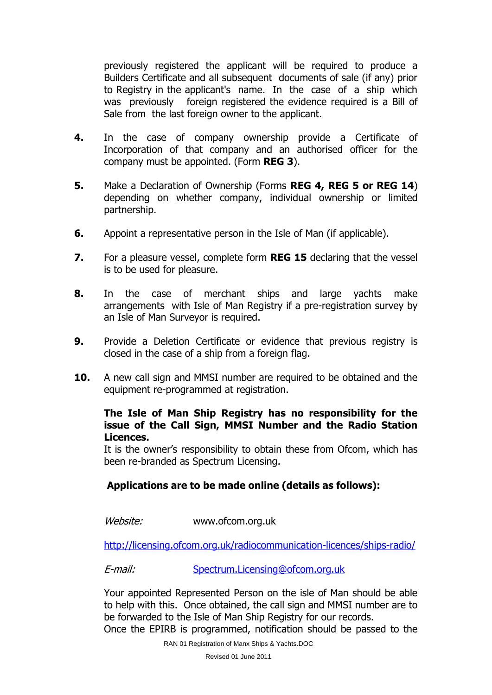previously registered the applicant will be required to produce a Builders Certificate and all subsequent documents of sale (if any) prior to Registry in the applicant's name. In the case of a ship which was previously foreign registered the evidence required is a Bill of Sale from the last foreign owner to the applicant.

- **4.** In the case of company ownership provide a Certificate of Incorporation of that company and an authorised officer for the company must be appointed. (Form **REG 3**).
- **5.** Make a Declaration of Ownership (Forms **REG 4, REG 5 or REG 14**) depending on whether company, individual ownership or limited partnership.
- **6.** Appoint a representative person in the Isle of Man (if applicable).
- **7.** For a pleasure vessel, complete form **REG 15** declaring that the vessel is to be used for pleasure.
- **8.** In the case of merchant ships and large yachts make arrangements with Isle of Man Registry if a pre-registration survey by an Isle of Man Surveyor is required.
- **9.** Provide a Deletion Certificate or evidence that previous registry is closed in the case of a ship from a foreign flag.
- **10.** A new call sign and MMSI number are required to be obtained and the equipment re-programmed at registration.

## **The Isle of Man Ship Registry has no responsibility for the issue of the Call Sign, MMSI Number and the Radio Station Licences.**

It is the owner's responsibility to obtain these from Ofcom, which has been re-branded as Spectrum Licensing.

## **Applications are to be made online (details as follows):**

Website: www.ofcom.org.uk

<http://licensing.ofcom.org.uk/radiocommunication-licences/ships-radio/>

E-mail: [Spectrum.Licensing@ofcom.org.uk](mailto:Spectrum.Licensing@ofcom.org.uk)

Your appointed Represented Person on the isle of Man should be able to help with this. Once obtained, the call sign and MMSI number are to be forwarded to the Isle of Man Ship Registry for our records.

Once the EPIRB is programmed, notification should be passed to the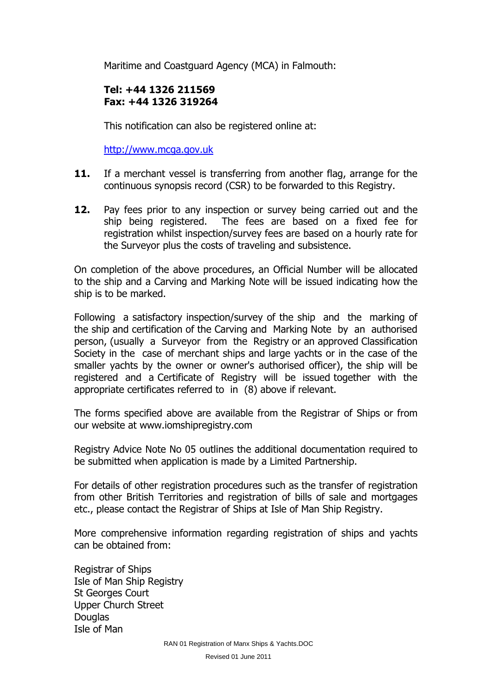Maritime and Coastguard Agency (MCA) in Falmouth:

## **[Tel: +44](tel:+44) 1326 211569 Fax: +44 1326 319264**

This notification can also be registered online at:

[http://www.mcga.gov.uk](http://www.mcga.gov.uk/)

- **11.** If a merchant vessel is transferring from another flag, arrange for the continuous synopsis record (CSR) to be forwarded to this Registry.
- **12.** Pay fees prior to any inspection or survey being carried out and the ship being registered. The fees are based on a fixed fee for registration whilst inspection/survey fees are based on a hourly rate for the Surveyor plus the costs of traveling and subsistence.

On completion of the above procedures, an Official Number will be allocated to the ship and a Carving and Marking Note will be issued indicating how the ship is to be marked.

Following a satisfactory inspection/survey of the ship and the marking of the ship and certification of the Carving and Marking Note by an authorised person, (usually a Surveyor from the Registry or an approved Classification Society in the case of merchant ships and large yachts or in the case of the smaller yachts by the owner or owner's authorised officer), the ship will be registered and a Certificate of Registry will be issued together with the appropriate certificates referred to in (8) above if relevant.

The forms specified above are available from the Registrar of Ships or from our website at www.iomshipregistry.com

Registry Advice Note No 05 outlines the additional documentation required to be submitted when application is made by a Limited Partnership.

For details of other registration procedures such as the transfer of registration from other British Territories and registration of bills of sale and mortgages etc., please contact the Registrar of Ships at Isle of Man Ship Registry.

More comprehensive information regarding registration of ships and yachts can be obtained from:

Registrar of Ships Isle of Man Ship Registry St Georges Court Upper Church Street Douglas Isle of Man